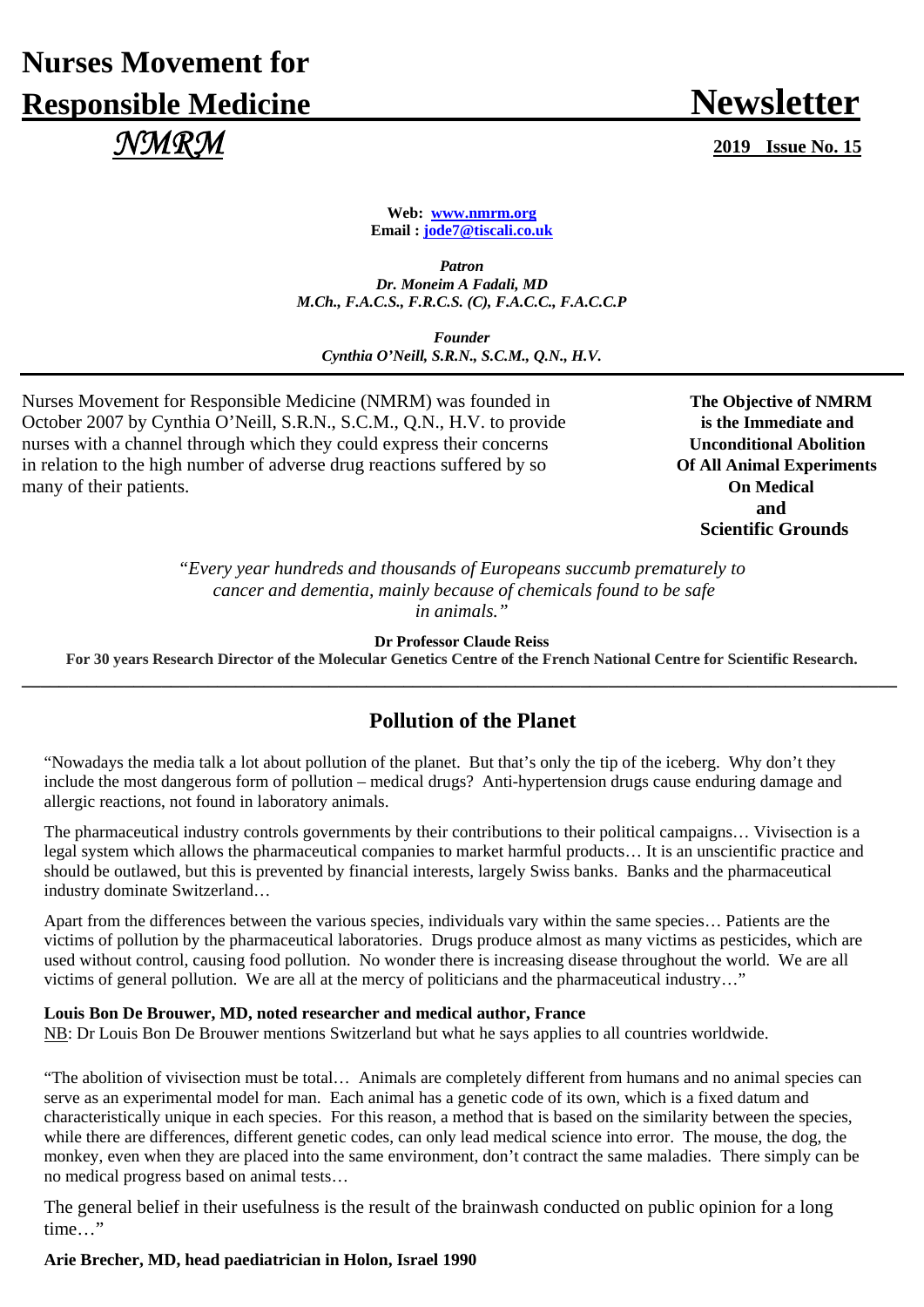# **Nurses Movement for Responsible Medicine Newsletter**  *NMRM* **2019 Issue No. 15**

**Web: www.nmrm.org Email : jode7@tiscali.co.uk** 

*Patron Dr. Moneim A Fadali, MD M.Ch., F.A.C.S., F.R.C.S. (C), F.A.C.C., F.A.C.C.P* 

*Founder Cynthia O'Neill, S.R.N., S.C.M., Q.N., H.V.*

Nurses Movement for Responsible Medicine (NMRM) was founded in **The Objective of NMRM** October 2007 by Cynthia O'Neill, S.R.N., S.C.M., Q.N., H.V. to provide **is the Immediate and** nurses with a channel through which they could express their concerns **Unconditional Abolition** in relation to the high number of adverse drug reactions suffered by so **Of All Animal Experiments** many of their patients. **On Medical** 

**and and and Scientific Grounds** 

> *"Every year hundreds and thousands of Europeans succumb prematurely to cancer and dementia, mainly because of chemicals found to be safe in animals."*

> > **Dr Professor Claude Reiss**

**For 30 years Research Director of the Molecular Genetics Centre of the French National Centre for Scientific Research. \_\_\_\_\_\_\_\_\_\_\_\_\_\_\_\_\_\_\_\_\_\_\_\_\_\_\_\_\_\_\_\_\_\_\_\_\_\_\_\_\_\_\_\_\_\_\_\_\_\_\_\_\_\_\_\_\_\_\_\_\_\_\_\_\_\_\_\_\_\_\_\_\_\_\_\_\_\_\_\_\_\_\_\_\_\_\_\_\_\_\_\_\_\_**

## **Pollution of the Planet**

"Nowadays the media talk a lot about pollution of the planet. But that's only the tip of the iceberg. Why don't they include the most dangerous form of pollution – medical drugs? Anti-hypertension drugs cause enduring damage and allergic reactions, not found in laboratory animals.

The pharmaceutical industry controls governments by their contributions to their political campaigns… Vivisection is a legal system which allows the pharmaceutical companies to market harmful products… It is an unscientific practice and should be outlawed, but this is prevented by financial interests, largely Swiss banks. Banks and the pharmaceutical industry dominate Switzerland…

Apart from the differences between the various species, individuals vary within the same species… Patients are the victims of pollution by the pharmaceutical laboratories. Drugs produce almost as many victims as pesticides, which are used without control, causing food pollution. No wonder there is increasing disease throughout the world. We are all victims of general pollution. We are all at the mercy of politicians and the pharmaceutical industry…"

### **Louis Bon De Brouwer, MD, noted researcher and medical author, France**

NB: Dr Louis Bon De Brouwer mentions Switzerland but what he says applies to all countries worldwide.

"The abolition of vivisection must be total… Animals are completely different from humans and no animal species can serve as an experimental model for man. Each animal has a genetic code of its own, which is a fixed datum and characteristically unique in each species. For this reason, a method that is based on the similarity between the species, while there are differences, different genetic codes, can only lead medical science into error. The mouse, the dog, the monkey, even when they are placed into the same environment, don't contract the same maladies. There simply can be no medical progress based on animal tests…

The general belief in their usefulness is the result of the brainwash conducted on public opinion for a long time…"

### **Arie Brecher, MD, head paediatrician in Holon, Israel 1990**